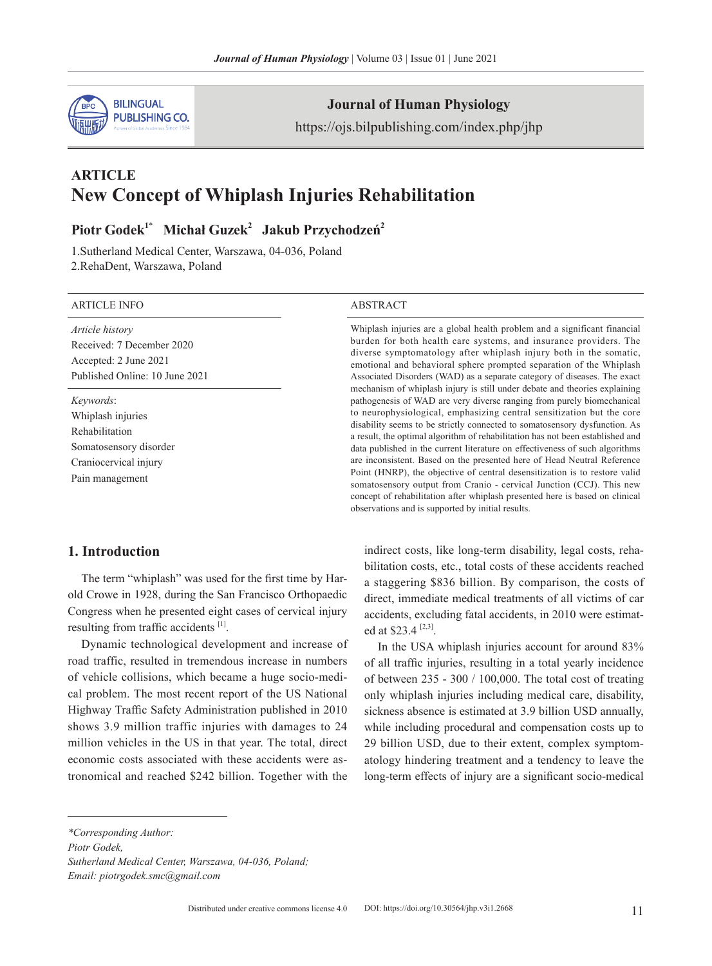

### **Journal of Human Physiology**

https://ojs.bilpublishing.com/index.php/jhp

# **ARTICLE New Concept of Whiplash Injuries Rehabilitation**

# **Piotr Godek1**\*  **Michał Guzek<sup>2</sup> Jakub Przychodzeń<sup>2</sup>**

1.Sutherland Medical Center, Warszawa, 04-036, Poland 2.RehaDent, Warszawa, Poland

#### ARTICLE INFO ABSTRACT

*Article history* Received: 7 December 2020 Accepted: 2 June 2021 Published Online: 10 June 2021

*Keywords*: Whiplash injuries Rehabilitation Somatosensory disorder Craniocervical injury Pain management

Whiplash injuries are a global health problem and a significant financial burden for both health care systems, and insurance providers. The diverse symptomatology after whiplash injury both in the somatic, emotional and behavioral sphere prompted separation of the Whiplash Associated Disorders (WAD) as a separate category of diseases. The exact mechanism of whiplash injury is still under debate and theories explaining pathogenesis of WAD are very diverse ranging from purely biomechanical to neurophysiological, emphasizing central sensitization but the core disability seems to be strictly connected to somatosensory dysfunction. As a result, the optimal algorithm of rehabilitation has not been established and data published in the current literature on effectiveness of such algorithms are inconsistent. Based on the presented here of Head Neutral Reference Point (HNRP), the objective of central desensitization is to restore valid somatosensory output from Cranio - cervical Junction (CCJ). This new concept of rehabilitation after whiplash presented here is based on clinical observations and is supported by initial results.

#### **1. Introduction**

The term "whiplash" was used for the first time by Harold Crowe in 1928, during the San Francisco Orthopaedic Congress when he presented eight cases of cervical injury resulting from traffic accidents [1].

Dynamic technological development and increase of road traffic, resulted in tremendous increase in numbers of vehicle collisions, which became a huge socio-medical problem. The most recent report of the US National Highway Traffic Safety Administration published in 2010 shows 3.9 million traffic injuries with damages to 24 million vehicles in the US in that year. The total, direct economic costs associated with these accidents were astronomical and reached \$242 billion. Together with the

indirect costs, like long-term disability, legal costs, rehabilitation costs, etc., total costs of these accidents reached a staggering \$836 billion. By comparison, the costs of direct, immediate medical treatments of all victims of car accidents, excluding fatal accidents, in 2010 were estimated at \$23.4 $^{[2,3]}$ .

In the USA whiplash injuries account for around 83% of all traffic injuries, resulting in a total yearly incidence of between 235 - 300 / 100,000. The total cost of treating only whiplash injuries including medical care, disability, sickness absence is estimated at 3.9 billion USD annually, while including procedural and compensation costs up to 29 billion USD, due to their extent, complex symptomatology hindering treatment and a tendency to leave the long-term effects of injury are a significant socio-medical

*\*Corresponding Author:*

*Piotr Godek,* 

*Email: piotrgodek.smc@gmail.com*

*Sutherland Medical Center, Warszawa, 04-036, Poland;*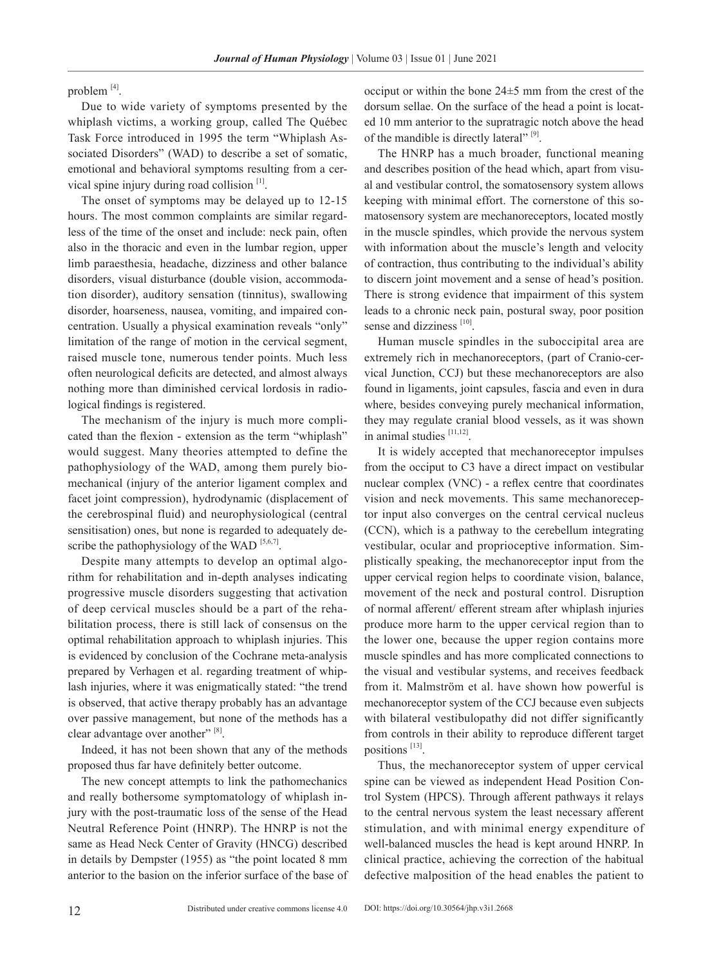problem [4].

Due to wide variety of symptoms presented by the whiplash victims, a working group, called The Québec Task Force introduced in 1995 the term "Whiplash Associated Disorders" (WAD) to describe a set of somatic, emotional and behavioral symptoms resulting from a cervical spine injury during road collision [1].

The onset of symptoms may be delayed up to 12-15 hours. The most common complaints are similar regardless of the time of the onset and include: neck pain, often also in the thoracic and even in the lumbar region, upper limb paraesthesia, headache, dizziness and other balance disorders, visual disturbance (double vision, accommodation disorder), auditory sensation (tinnitus), swallowing disorder, hoarseness, nausea, vomiting, and impaired concentration. Usually a physical examination reveals "only" limitation of the range of motion in the cervical segment, raised muscle tone, numerous tender points. Much less often neurological deficits are detected, and almost always nothing more than diminished cervical lordosis in radiological findings is registered.

The mechanism of the injury is much more complicated than the flexion - extension as the term "whiplash" would suggest. Many theories attempted to define the pathophysiology of the WAD, among them purely biomechanical (injury of the anterior ligament complex and facet joint compression), hydrodynamic (displacement of the cerebrospinal fluid) and neurophysiological (central sensitisation) ones, but none is regarded to adequately describe the pathophysiology of the WAD  $[5,6,7]$ .

Despite many attempts to develop an optimal algorithm for rehabilitation and in-depth analyses indicating progressive muscle disorders suggesting that activation of deep cervical muscles should be a part of the rehabilitation process, there is still lack of consensus on the optimal rehabilitation approach to whiplash injuries. This is evidenced by conclusion of the Cochrane meta-analysis prepared by Verhagen et al. regarding treatment of whiplash injuries, where it was enigmatically stated: "the trend is observed, that active therapy probably has an advantage over passive management, but none of the methods has a clear advantage over another" [8].

Indeed, it has not been shown that any of the methods proposed thus far have definitely better outcome.

The new concept attempts to link the pathomechanics and really bothersome symptomatology of whiplash injury with the post-traumatic loss of the sense of the Head Neutral Reference Point (HNRP). The HNRP is not the same as Head Neck Center of Gravity (HNCG) described in details by Dempster (1955) as "the point located 8 mm anterior to the basion on the inferior surface of the base of occiput or within the bone 24±5 mm from the crest of the dorsum sellae. On the surface of the head a point is located 10 mm anterior to the supratragic notch above the head of the mandible is directly lateral" [9].

The HNRP has a much broader, functional meaning and describes position of the head which, apart from visual and vestibular control, the somatosensory system allows keeping with minimal effort. The cornerstone of this somatosensory system are mechanoreceptors, located mostly in the muscle spindles, which provide the nervous system with information about the muscle's length and velocity of contraction, thus contributing to the individual's ability to discern joint movement and a sense of head's position. There is strong evidence that impairment of this system leads to a chronic neck pain, postural sway, poor position sense and dizziness [10].

Human muscle spindles in the suboccipital area are extremely rich in mechanoreceptors, (part of Cranio-cervical Junction, CCJ) but these mechanoreceptors are also found in ligaments, joint capsules, fascia and even in dura where, besides conveying purely mechanical information, they may regulate cranial blood vessels, as it was shown in animal studies [11,12].

It is widely accepted that mechanoreceptor impulses from the occiput to C3 have a direct impact on vestibular nuclear complex (VNC) - a reflex centre that coordinates vision and neck movements. This same mechanoreceptor input also converges on the central cervical nucleus (CCN), which is a pathway to the cerebellum integrating vestibular, ocular and proprioceptive information. Simplistically speaking, the mechanoreceptor input from the upper cervical region helps to coordinate vision, balance, movement of the neck and postural control. Disruption of normal afferent/ efferent stream after whiplash injuries produce more harm to the upper cervical region than to the lower one, because the upper region contains more muscle spindles and has more complicated connections to the visual and vestibular systems, and receives feedback from it. Malmström et al. have shown how powerful is mechanoreceptor system of the CCJ because even subjects with bilateral vestibulopathy did not differ significantly from controls in their ability to reproduce different target positions [13].

Thus, the mechanoreceptor system of upper cervical spine can be viewed as independent Head Position Control System (HPCS). Through afferent pathways it relays to the central nervous system the least necessary afferent stimulation, and with minimal energy expenditure of well-balanced muscles the head is kept around HNRP. In clinical practice, achieving the correction of the habitual defective malposition of the head enables the patient to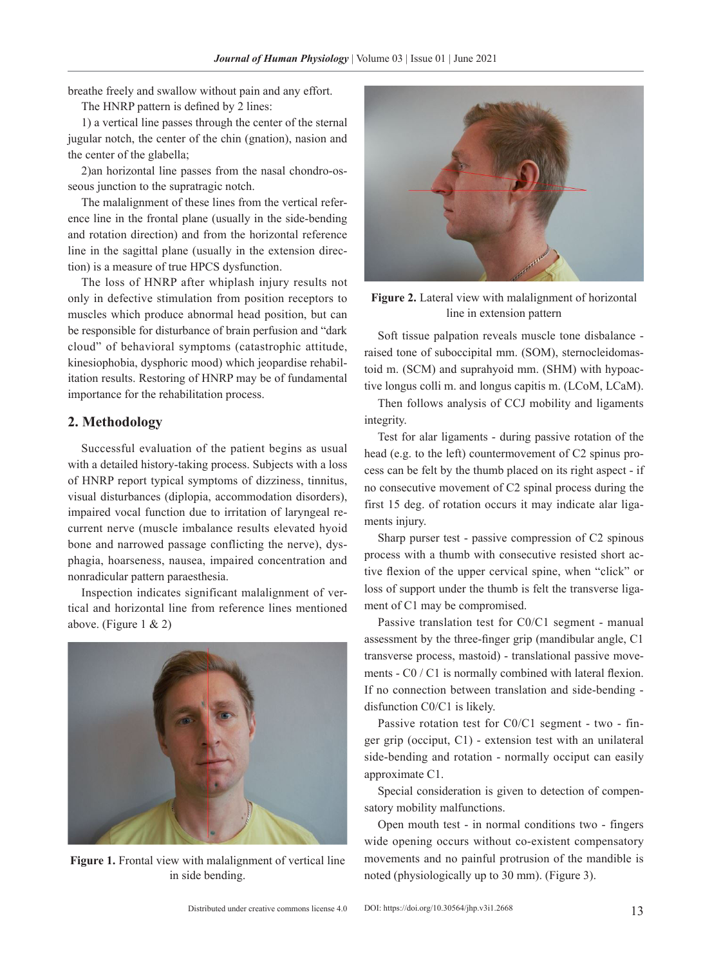breathe freely and swallow without pain and any effort.

The HNRP pattern is defined by 2 lines:

1) a vertical line passes through the center of the sternal jugular notch, the center of the chin (gnation), nasion and the center of the glabella;

2)an horizontal line passes from the nasal chondro-osseous junction to the supratragic notch.

The malalignment of these lines from the vertical reference line in the frontal plane (usually in the side-bending and rotation direction) and from the horizontal reference line in the sagittal plane (usually in the extension direction) is a measure of true HPCS dysfunction.

The loss of HNRP after whiplash injury results not only in defective stimulation from position receptors to muscles which produce abnormal head position, but can be responsible for disturbance of brain perfusion and "dark cloud" of behavioral symptoms (catastrophic attitude, kinesiophobia, dysphoric mood) which jeopardise rehabilitation results. Restoring of HNRP may be of fundamental importance for the rehabilitation process.

#### **2. Methodology**

Successful evaluation of the patient begins as usual with a detailed history-taking process. Subjects with a loss of HNRP report typical symptoms of dizziness, tinnitus, visual disturbances (diplopia, accommodation disorders), impaired vocal function due to irritation of laryngeal recurrent nerve (muscle imbalance results elevated hyoid bone and narrowed passage conflicting the nerve), dysphagia, hoarseness, nausea, impaired concentration and nonradicular pattern paraesthesia.

Inspection indicates significant malalignment of vertical and horizontal line from reference lines mentioned above. (Figure  $1 \& 2$ )



**Figure 1.** Frontal view with malalignment of vertical line in side bending.



**Figure 2.** Lateral view with malalignment of horizontal line in extension pattern

Soft tissue palpation reveals muscle tone disbalance raised tone of suboccipital mm. (SOM), sternocleidomastoid m. (SCM) and suprahyoid mm. (SHM) with hypoactive longus colli m. and longus capitis m. (LCoM, LCaM).

Then follows analysis of CCJ mobility and ligaments integrity.

Test for alar ligaments - during passive rotation of the head (e.g. to the left) countermovement of C2 spinus process can be felt by the thumb placed on its right aspect - if no consecutive movement of C2 spinal process during the first 15 deg. of rotation occurs it may indicate alar ligaments injury.

Sharp purser test - passive compression of C2 spinous process with a thumb with consecutive resisted short active flexion of the upper cervical spine, when "click" or loss of support under the thumb is felt the transverse ligament of C1 may be compromised.

Passive translation test for C0/C1 segment - manual assessment by the three-finger grip (mandibular angle, C1 transverse process, mastoid) - translational passive movements - C0 / C1 is normally combined with lateral flexion. If no connection between translation and side-bending disfunction C0/C1 is likely.

Passive rotation test for C0/C1 segment - two - finger grip (occiput, C1) - extension test with an unilateral side-bending and rotation - normally occiput can easily approximate C1.

Special consideration is given to detection of compensatory mobility malfunctions.

Open mouth test - in normal conditions two - fingers wide opening occurs without co-existent compensatory movements and no painful protrusion of the mandible is noted (physiologically up to 30 mm). (Figure 3).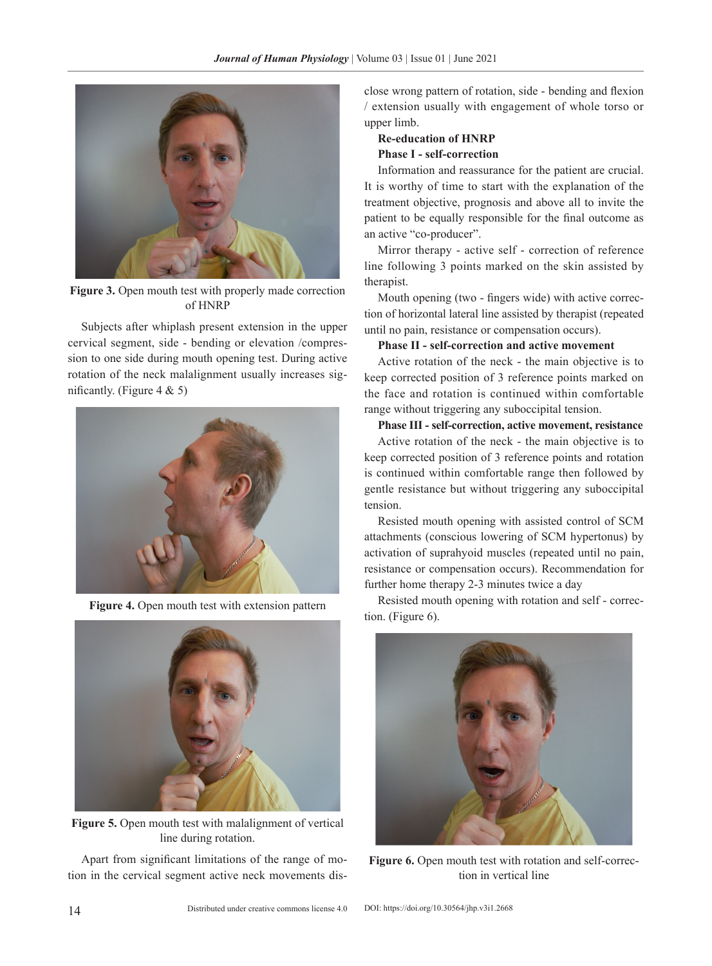

Figure 3. Open mouth test with properly made correction of HNRP

Subjects after whiplash present extension in the upper cervical segment, side - bending or elevation /compression to one side during mouth opening test. During active rotation of the neck malalignment usually increases significantly. (Figure  $4 \& 5$ )



**Figure 4.** Open mouth test with extension pattern



**Figure 5.** Open mouth test with malalignment of vertical line during rotation.

Apart from significant limitations of the range of motion in the cervical segment active neck movements disclose wrong pattern of rotation, side - bending and flexion / extension usually with engagement of whole torso or upper limb.

## **Re-education of HNRP Phase I - self-correction**

Information and reassurance for the patient are crucial. It is worthy of time to start with the explanation of the treatment objective, prognosis and above all to invite the patient to be equally responsible for the final outcome as an active "co-producer".

Mirror therapy - active self - correction of reference line following 3 points marked on the skin assisted by therapist.

Mouth opening (two - fingers wide) with active correction of horizontal lateral line assisted by therapist (repeated until no pain, resistance or compensation occurs).

#### **Phase II - self-correction and active movement**

Active rotation of the neck - the main objective is to keep corrected position of 3 reference points marked on the face and rotation is continued within comfortable range without triggering any suboccipital tension.

#### **Phase III - self-correction, active movement, resistance**

Active rotation of the neck - the main objective is to keep corrected position of 3 reference points and rotation is continued within comfortable range then followed by gentle resistance but without triggering any suboccipital tension.

Resisted mouth opening with assisted control of SCM attachments (conscious lowering of SCM hypertonus) by activation of suprahyoid muscles (repeated until no pain, resistance or compensation occurs). Recommendation for further home therapy 2-3 minutes twice a day

Resisted mouth opening with rotation and self - correction. (Figure 6).



Figure 6. Open mouth test with rotation and self-correction in vertical line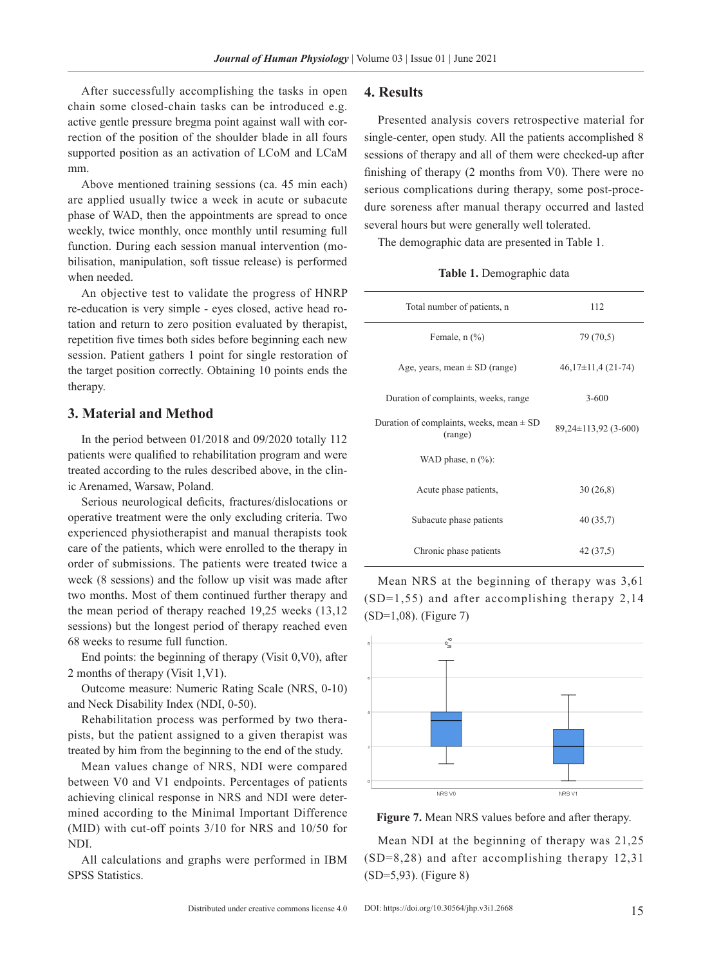After successfully accomplishing the tasks in open chain some closed-chain tasks can be introduced e.g. active gentle pressure bregma point against wall with correction of the position of the shoulder blade in all fours supported position as an activation of LCoM and LCaM mm.

Above mentioned training sessions (ca. 45 min each) are applied usually twice a week in acute or subacute phase of WAD, then the appointments are spread to once weekly, twice monthly, once monthly until resuming full function. During each session manual intervention (mobilisation, manipulation, soft tissue release) is performed when needed.

An objective test to validate the progress of HNRP re-education is very simple - eyes closed, active head rotation and return to zero position evaluated by therapist, repetition five times both sides before beginning each new session. Patient gathers 1 point for single restoration of the target position correctly. Obtaining 10 points ends the therapy.

#### **3. Material and Method**

In the period between 01/2018 and 09/2020 totally 112 patients were qualified to rehabilitation program and were treated according to the rules described above, in the clinic Arenamed, Warsaw, Poland.

Serious neurological deficits, fractures/dislocations or operative treatment were the only excluding criteria. Two experienced physiotherapist and manual therapists took care of the patients, which were enrolled to the therapy in order of submissions. The patients were treated twice a week (8 sessions) and the follow up visit was made after two months. Most of them continued further therapy and the mean period of therapy reached 19,25 weeks (13,12 sessions) but the longest period of therapy reached even 68 weeks to resume full function.

End points: the beginning of therapy (Visit 0,V0), after 2 months of therapy (Visit 1,V1).

Outcome measure: Numeric Rating Scale (NRS, 0-10) and Neck Disability Index (NDI, 0-50).

Rehabilitation process was performed by two therapists, but the patient assigned to a given therapist was treated by him from the beginning to the end of the study.

Mean values change of NRS, NDI were compared between V0 and V1 endpoints. Percentages of patients achieving clinical response in NRS and NDI were determined according to the Minimal Important Difference (MID) with cut-off points 3/10 for NRS and 10/50 for NDI.

All calculations and graphs were performed in IBM SPSS Statistics.

#### **4. Results**

Presented analysis covers retrospective material for single-center, open study. All the patients accomplished 8 sessions of therapy and all of them were checked-up after finishing of therapy (2 months from V0). There were no serious complications during therapy, some post-procedure soreness after manual therapy occurred and lasted several hours but were generally well tolerated.

The demographic data are presented in Table 1.

**Table 1.** Demographic data

| Total number of patients, n                             | 112                        |
|---------------------------------------------------------|----------------------------|
| Female, $n$ $(\%)$                                      | 79 (70.5)                  |
| Age, years, mean $\pm$ SD (range)                       | $46,17\pm11,4(21-74)$      |
| Duration of complaints, weeks, range                    | $3 - 600$                  |
| Duration of complaints, weeks, mean $\pm$ SD<br>(range) | $89,24 \pm 113,92$ (3-600) |
| WAD phase, $n$ $(\%)$ :                                 |                            |
| Acute phase patients,                                   | 30(26,8)                   |
| Subacute phase patients                                 | 40 (35,7)                  |
| Chronic phase patients                                  | 42 (37,5)                  |

Mean NRS at the beginning of therapy was 3,61 (SD=1,55) and after accomplishing therapy 2,14 (SD=1,08). (Figure 7)



**Figure 7.** Mean NRS values before and after therapy.

Mean NDI at the beginning of therapy was 21,25 (SD=8,28) and after accomplishing therapy 12,31 (SD=5,93). (Figure 8)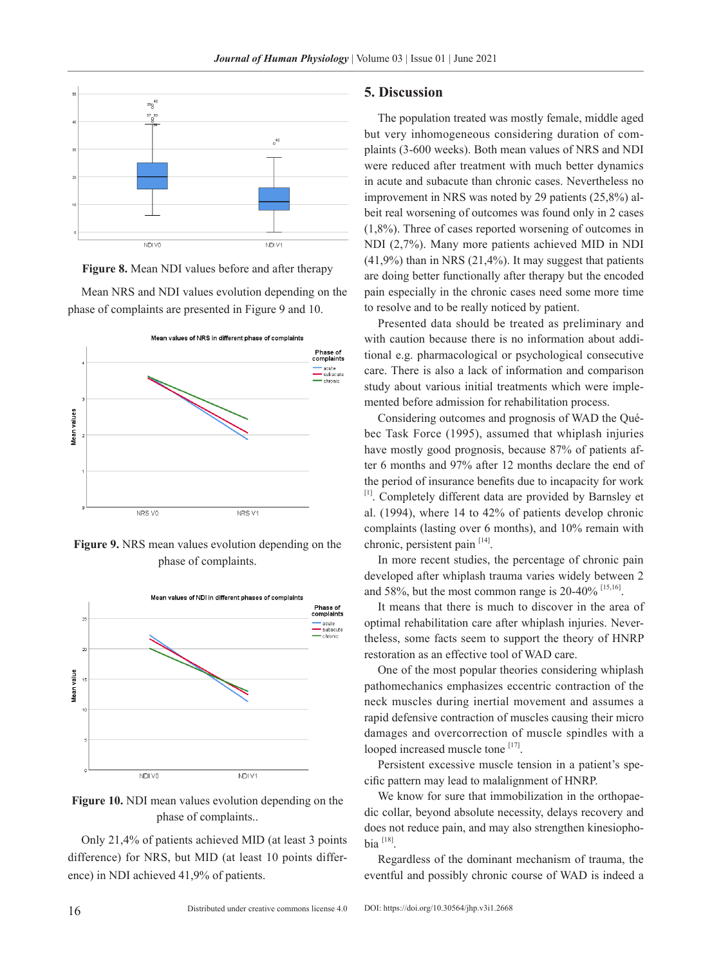





**Figure 9.** NRS mean values evolution depending on the phase of complaints.





Only 21,4% of patients achieved MID (at least 3 points difference) for NRS, but MID (at least 10 points difference) in NDI achieved 41,9% of patients.

#### **5. Discussion**

The population treated was mostly female, middle aged but very inhomogeneous considering duration of complaints (3-600 weeks). Both mean values of NRS and NDI were reduced after treatment with much better dynamics in acute and subacute than chronic cases. Nevertheless no improvement in NRS was noted by 29 patients (25,8%) albeit real worsening of outcomes was found only in 2 cases (1,8%). Three of cases reported worsening of outcomes in NDI (2,7%). Many more patients achieved MID in NDI  $(41,9\%)$  than in NRS  $(21,4\%)$ . It may suggest that patients are doing better functionally after therapy but the encoded pain especially in the chronic cases need some more time to resolve and to be really noticed by patient.

Presented data should be treated as preliminary and with caution because there is no information about additional e.g. pharmacological or psychological consecutive care. There is also a lack of information and comparison study about various initial treatments which were implemented before admission for rehabilitation process.

Considering outcomes and prognosis of WAD the Québec Task Force (1995), assumed that whiplash injuries have mostly good prognosis, because 87% of patients after 6 months and 97% after 12 months declare the end of the period of insurance benefits due to incapacity for work [1]. Completely different data are provided by Barnsley et al. (1994), where 14 to 42% of patients develop chronic complaints (lasting over 6 months), and 10% remain with chronic, persistent pain  $[14]$ .

In more recent studies, the percentage of chronic pain developed after whiplash trauma varies widely between 2 and 58%, but the most common range is 20-40% [15,16].

It means that there is much to discover in the area of optimal rehabilitation care after whiplash injuries. Nevertheless, some facts seem to support the theory of HNRP restoration as an effective tool of WAD care.

One of the most popular theories considering whiplash pathomechanics emphasizes eccentric contraction of the neck muscles during inertial movement and assumes a rapid defensive contraction of muscles causing their micro damages and overcorrection of muscle spindles with a looped increased muscle tone [17].

Persistent excessive muscle tension in a patient's specific pattern may lead to malalignment of HNRP.

We know for sure that immobilization in the orthopaedic collar, beyond absolute necessity, delays recovery and does not reduce pain, and may also strengthen kinesiophobia  $[18]$ 

Regardless of the dominant mechanism of trauma, the eventful and possibly chronic course of WAD is indeed a

Mean NRS and NDI values evolution depending on the phase of complaints are presented in Figure 9 and 10.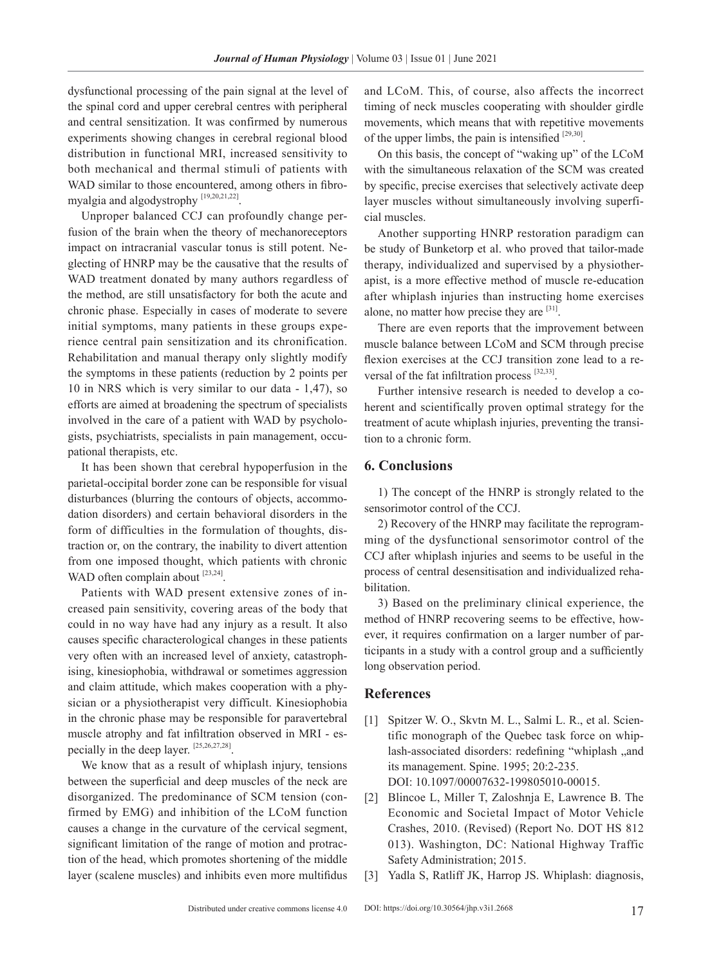dysfunctional processing of the pain signal at the level of the spinal cord and upper cerebral centres with peripheral and central sensitization. It was confirmed by numerous experiments showing changes in cerebral regional blood distribution in functional MRI, increased sensitivity to both mechanical and thermal stimuli of patients with WAD similar to those encountered, among others in fibromyalgia and algodystrophy [19,20,21,22].

Unproper balanced CCJ can profoundly change perfusion of the brain when the theory of mechanoreceptors impact on intracranial vascular tonus is still potent. Neglecting of HNRP may be the causative that the results of WAD treatment donated by many authors regardless of the method, are still unsatisfactory for both the acute and chronic phase. Especially in cases of moderate to severe initial symptoms, many patients in these groups experience central pain sensitization and its chronification. Rehabilitation and manual therapy only slightly modify the symptoms in these patients (reduction by 2 points per 10 in NRS which is very similar to our data - 1,47), so efforts are aimed at broadening the spectrum of specialists involved in the care of a patient with WAD by psychologists, psychiatrists, specialists in pain management, occupational therapists, etc.

It has been shown that cerebral hypoperfusion in the parietal-occipital border zone can be responsible for visual disturbances (blurring the contours of objects, accommodation disorders) and certain behavioral disorders in the form of difficulties in the formulation of thoughts, distraction or, on the contrary, the inability to divert attention from one imposed thought, which patients with chronic WAD often complain about [23,24].

Patients with WAD present extensive zones of increased pain sensitivity, covering areas of the body that could in no way have had any injury as a result. It also causes specific characterological changes in these patients very often with an increased level of anxiety, catastrophising, kinesiophobia, withdrawal or sometimes aggression and claim attitude, which makes cooperation with a physician or a physiotherapist very difficult. Kinesiophobia in the chronic phase may be responsible for paravertebral muscle atrophy and fat infiltration observed in MRI - especially in the deep layer. [25,26,27,28].

We know that as a result of whiplash injury, tensions between the superficial and deep muscles of the neck are disorganized. The predominance of SCM tension (confirmed by EMG) and inhibition of the LCoM function causes a change in the curvature of the cervical segment, significant limitation of the range of motion and protraction of the head, which promotes shortening of the middle layer (scalene muscles) and inhibits even more multifidus and LCoM. This, of course, also affects the incorrect timing of neck muscles cooperating with shoulder girdle movements, which means that with repetitive movements of the upper limbs, the pain is intensified  $[29,30]$ .

On this basis, the concept of "waking up" of the LCoM with the simultaneous relaxation of the SCM was created by specific, precise exercises that selectively activate deep layer muscles without simultaneously involving superficial muscles.

Another supporting HNRP restoration paradigm can be study of Bunketorp et al. who proved that tailor-made therapy, individualized and supervised by a physiotherapist, is a more effective method of muscle re-education after whiplash injuries than instructing home exercises alone, no matter how precise they are  $[31]$ .

There are even reports that the improvement between muscle balance between LCoM and SCM through precise flexion exercises at the CCJ transition zone lead to a reversal of the fat infiltration process [32,33].

Further intensive research is needed to develop a coherent and scientifically proven optimal strategy for the treatment of acute whiplash injuries, preventing the transition to a chronic form.

#### **6. Conclusions**

1) The concept of the HNRP is strongly related to the sensorimotor control of the CCJ.

2) Recovery of the HNRP may facilitate the reprogramming of the dysfunctional sensorimotor control of the CCJ after whiplash injuries and seems to be useful in the process of central desensitisation and individualized rehabilitation.

3) Based on the preliminary clinical experience, the method of HNRP recovering seems to be effective, however, it requires confirmation on a larger number of participants in a study with a control group and a sufficiently long observation period.

#### **References**

- [1] Spitzer W. O., Skvtn M. L., Salmi L. R., et al. Scientific monograph of the Quebec task force on whiplash-associated disorders: redefining "whiplash "and its management. Spine. 1995; 20:2-235. DOI: 10.1097/00007632-199805010-00015.
- [2] Blincoe L, Miller T, Zaloshnja E, Lawrence B. The Economic and Societal Impact of Motor Vehicle Crashes, 2010. (Revised) (Report No. DOT HS 812 013). Washington, DC: National Highway Traffic Safety Administration; 2015.
- [3] Yadla S, Ratliff JK, Harrop JS. Whiplash: diagnosis,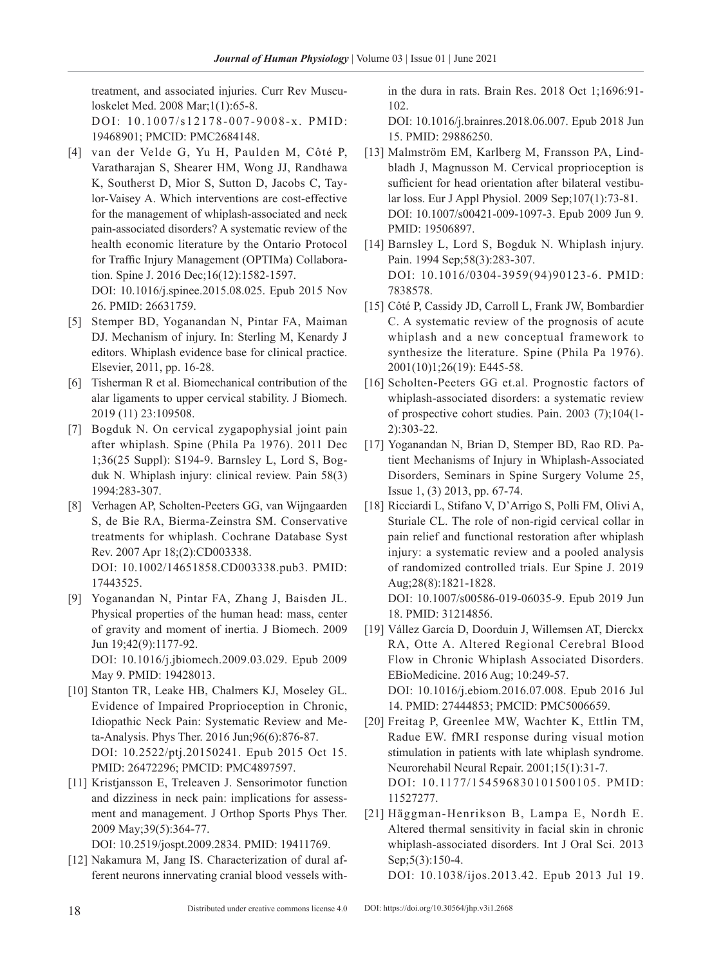treatment, and associated injuries. Curr Rev Musculoskelet Med. 2008 Mar;1(1):65-8.

DOI: 10.1007/s12178-007-9008-x. PMID: 19468901; PMCID: PMC2684148.

- [4] van der Velde G, Yu H, Paulden M, Côté P, Varatharajan S, Shearer HM, Wong JJ, Randhawa K, Southerst D, Mior S, Sutton D, Jacobs C, Taylor-Vaisey A. Which interventions are cost-effective for the management of whiplash-associated and neck pain-associated disorders? A systematic review of the health economic literature by the Ontario Protocol for Traffic Injury Management (OPTIMa) Collaboration. Spine J. 2016 Dec;16(12):1582-1597. DOI: 10.1016/j.spinee.2015.08.025. Epub 2015 Nov 26. PMID: 26631759.
- [5] Stemper BD, Yoganandan N, Pintar FA, Maiman DJ. Mechanism of injury. In: Sterling M, Kenardy J editors. Whiplash evidence base for clinical practice. Elsevier, 2011, pp. 16-28.
- [6] Tisherman R et al. Biomechanical contribution of the alar ligaments to upper cervical stability. J Biomech. 2019 (11) 23:109508.
- [7] Bogduk N. On cervical zygapophysial joint pain after whiplash. Spine (Phila Pa 1976). 2011 Dec 1;36(25 Suppl): S194-9. Barnsley L, Lord S, Bogduk N. Whiplash injury: clinical review. Pain 58(3) 1994:283-307.
- [8] Verhagen AP, Scholten-Peeters GG, van Wijngaarden S, de Bie RA, Bierma-Zeinstra SM. Conservative treatments for whiplash. Cochrane Database Syst Rev. 2007 Apr 18;(2):CD003338. DOI: 10.1002/14651858.CD003338.pub3. PMID: 17443525.
- [9] Yoganandan N, Pintar FA, Zhang J, Baisden JL. Physical properties of the human head: mass, center of gravity and moment of inertia. J Biomech. 2009 Jun 19;42(9):1177-92. DOI: 10.1016/j.jbiomech.2009.03.029. Epub 2009 May 9. PMID: 19428013.
- [10] Stanton TR, Leake HB, Chalmers KJ, Moseley GL. Evidence of Impaired Proprioception in Chronic, Idiopathic Neck Pain: Systematic Review and Meta-Analysis. Phys Ther. 2016 Jun;96(6):876-87. DOI: 10.2522/ptj.20150241. Epub 2015 Oct 15. PMID: 26472296; PMCID: PMC4897597.
- [11] Kristjansson E, Treleaven J. Sensorimotor function and dizziness in neck pain: implications for assessment and management. J Orthop Sports Phys Ther. 2009 May;39(5):364-77.

DOI: 10.2519/jospt.2009.2834. PMID: 19411769.

[12] Nakamura M, Jang IS. Characterization of dural afferent neurons innervating cranial blood vessels within the dura in rats. Brain Res. 2018 Oct 1;1696:91- 102.

DOI: 10.1016/j.brainres.2018.06.007. Epub 2018 Jun 15. PMID: 29886250.

- [13] Malmström EM, Karlberg M, Fransson PA, Lindbladh J, Magnusson M. Cervical proprioception is sufficient for head orientation after bilateral vestibular loss. Eur J Appl Physiol. 2009 Sep;107(1):73-81. DOI: 10.1007/s00421-009-1097-3. Epub 2009 Jun 9. PMID: 19506897.
- [14] Barnsley L, Lord S, Bogduk N. Whiplash injury. Pain. 1994 Sep;58(3):283-307. DOI: 10.1016/0304-3959(94)90123-6. PMID: 7838578.
- [15] Côté P, Cassidy JD, Carroll L, Frank JW, Bombardier C. A systematic review of the prognosis of acute whiplash and a new conceptual framework to synthesize the literature. Spine (Phila Pa 1976). 2001(10)1;26(19): E445-58.
- [16] Scholten-Peeters GG et.al. Prognostic factors of whiplash-associated disorders: a systematic review of prospective cohort studies. Pain. 2003 (7);104(1- 2):303-22.
- [17] Yoganandan N, Brian D, Stemper BD, Rao RD. Patient Mechanisms of Injury in Whiplash-Associated Disorders, Seminars in Spine Surgery Volume 25, Issue 1, (3) 2013, pp. 67-74.
- [18] Ricciardi L, Stifano V, D'Arrigo S, Polli FM, Olivi A, Sturiale CL. The role of non-rigid cervical collar in pain relief and functional restoration after whiplash injury: a systematic review and a pooled analysis of randomized controlled trials. Eur Spine J. 2019 Aug;28(8):1821-1828. DOI: 10.1007/s00586-019-06035-9. Epub 2019 Jun
- [19] Vállez García D, Doorduin J, Willemsen AT, Dierckx RA, Otte A. Altered Regional Cerebral Blood Flow in Chronic Whiplash Associated Disorders. EBioMedicine. 2016 Aug; 10:249-57. DOI: 10.1016/j.ebiom.2016.07.008. Epub 2016 Jul 14. PMID: 27444853; PMCID: PMC5006659.
- [20] Freitag P, Greenlee MW, Wachter K, Ettlin TM, Radue EW. fMRI response during visual motion stimulation in patients with late whiplash syndrome. Neurorehabil Neural Repair. 2001;15(1):31-7. DOI: 10.1177/154596830101500105. PMID: 11527277.
- [21] Häggman-Henrikson B, Lampa E, Nordh E. Altered thermal sensitivity in facial skin in chronic whiplash-associated disorders. Int J Oral Sci. 2013 Sep; 5(3): 150-4. DOI: 10.1038/ijos.2013.42. Epub 2013 Jul 19.

18. PMID: 31214856.